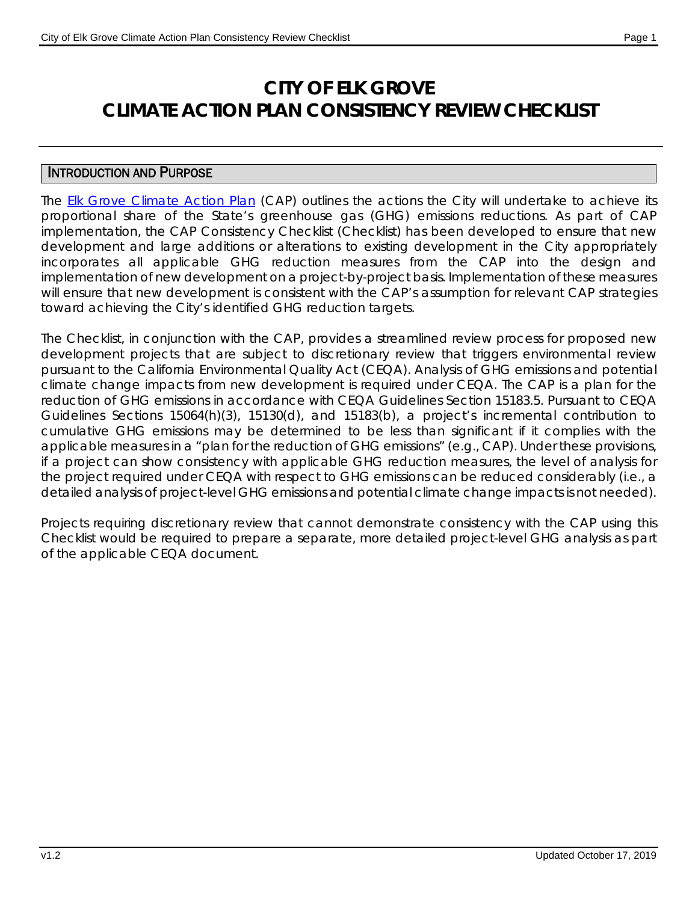# **CITY OF ELK GROVE CLIMATE ACTION PLAN CONSISTENCY REVIEW CHECKLIST**

### INTRODUCTION AND PURPOSE

The [Elk Grove Climate Action Plan](http://www.elkgrovecity.org/UserFiles/Servers/Server_109585/File/Departments/Planning/Projects/General%20Plan/GPU/Adopted_2019-02/ElkGrove_CAP_Adopted_Clean.pdf) (CAP) outlines the actions the City will undertake to achieve its proportional share of the State's greenhouse gas (GHG) emissions reductions. As part of CAP implementation, the CAP Consistency Checklist (Checklist) has been developed to ensure that new development and large additions or alterations to existing development in the City appropriately incorporates all applicable GHG reduction measures from the CAP into the design and implementation of new development on a project-by-project basis. Implementation of these measures will ensure that new development is consistent with the CAP's assumption for relevant CAP strategies toward achieving the City's identified GHG reduction targets.

The Checklist, in conjunction with the CAP, provides a streamlined review process for proposed new development projects that are subject to discretionary review that triggers environmental review pursuant to the California Environmental Quality Act (CEQA). Analysis of GHG emissions and potential climate change impacts from new development is required under CEQA. The CAP is a plan for the reduction of GHG emissions in accordance with CEQA Guidelines Section 15183.5. Pursuant to CEQA Guidelines Sections 15064(h)(3), 15130(d), and 15183(b), a project's incremental contribution to cumulative GHG emissions may be determined to be less than significant if it complies with the applicable measures in a "plan for the reduction of GHG emissions" (e.g., CAP). Under these provisions, if a project can show consistency with applicable GHG reduction measures, the level of analysis for the project required under CEQA with respect to GHG emissions can be reduced considerably (i.e., a detailed analysis of project-level GHG emissions and potential climate change impacts is not needed).

Projects requiring discretionary review that cannot demonstrate consistency with the CAP using this Checklist would be required to prepare a separate, more detailed project-level GHG analysis as part of the applicable CEQA document.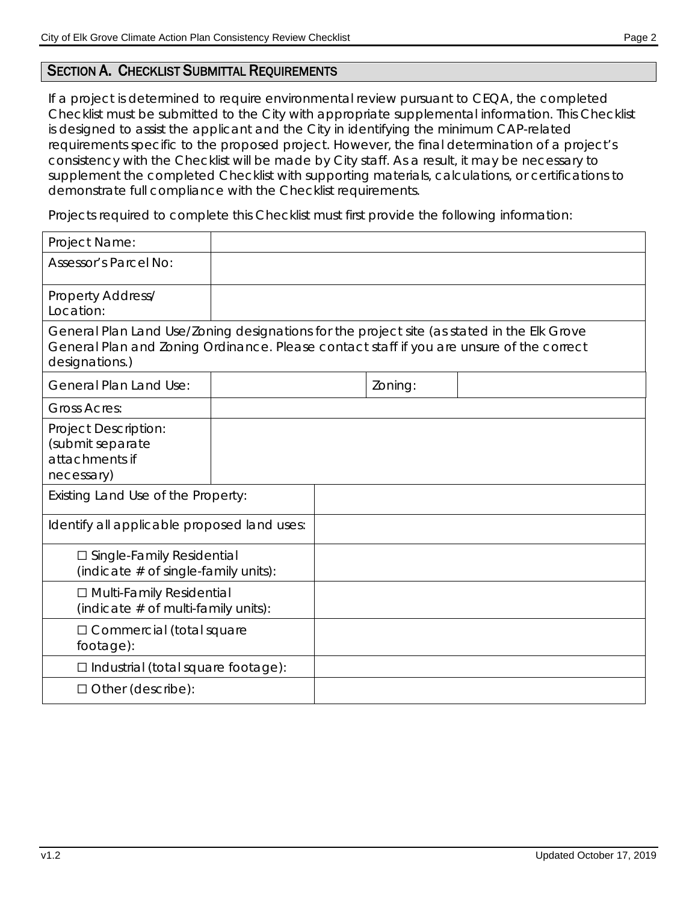### SECTION A. CHECKLIST SUBMITTAL REQUIREMENTS

If a project is determined to require environmental review pursuant to CEQA, the completed Checklist must be submitted to the City with appropriate supplemental information. This Checklist is designed to assist the applicant and the City in identifying the minimum CAP-related requirements specific to the proposed project. However, the final determination of a project's consistency with the Checklist will be made by City staff. As a result, it may be necessary to supplement the completed Checklist with supporting materials, calculations, or certifications to demonstrate full compliance with the Checklist requirements.

Projects required to complete this Checklist must first provide the following information:

| Project Name:                                                                                                                                                                                            |  |         |  |
|----------------------------------------------------------------------------------------------------------------------------------------------------------------------------------------------------------|--|---------|--|
| <b>Assessor's Parcel No:</b>                                                                                                                                                                             |  |         |  |
| <b>Property Address/</b><br>Location:                                                                                                                                                                    |  |         |  |
| General Plan Land Use/Zoning designations for the project site (as stated in the Elk Grove<br>General Plan and Zoning Ordinance. Please contact staff if you are unsure of the correct<br>designations.) |  |         |  |
| <b>General Plan Land Use:</b>                                                                                                                                                                            |  | Zoning: |  |
| <b>Gross Acres:</b>                                                                                                                                                                                      |  |         |  |
| <b>Project Description:</b><br>(submit separate<br>attachments if<br>necessary)                                                                                                                          |  |         |  |
| Existing Land Use of the Property:                                                                                                                                                                       |  |         |  |
| Identify all applicable proposed land uses:                                                                                                                                                              |  |         |  |
| □ Single-Family Residential<br>(indicate $#$ of single-family units):                                                                                                                                    |  |         |  |
| □ Multi-Family Residential<br>(indicate $#$ of multi-family units):                                                                                                                                      |  |         |  |
| $\Box$ Commercial (total square<br>footage):                                                                                                                                                             |  |         |  |
| $\Box$ Industrial (total square footage):                                                                                                                                                                |  |         |  |
| $\Box$ Other (describe):                                                                                                                                                                                 |  |         |  |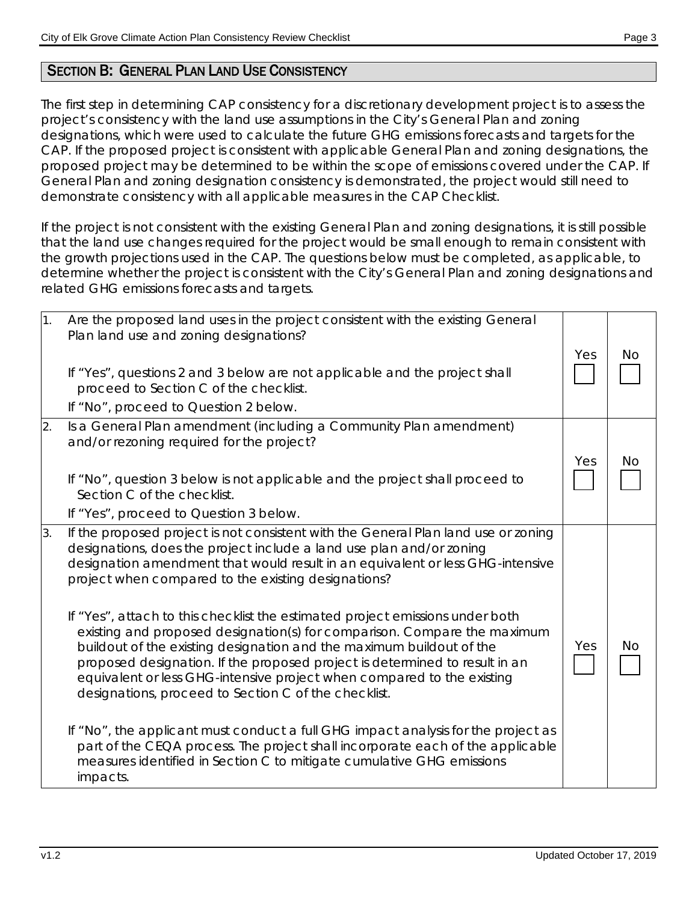## SECTION B: GENERAL PLAN LAND USE CONSISTENCY

The first step in determining CAP consistency for a discretionary development project is to assess the project's consistency with the land use assumptions in the City's General Plan and zoning designations, which were used to calculate the future GHG emissions forecasts and targets for the CAP. If the proposed project is consistent with applicable General Plan and zoning designations, the proposed project may be determined to be within the scope of emissions covered under the CAP. If General Plan and zoning designation consistency is demonstrated, the project would still need to demonstrate consistency with all applicable measures in the CAP Checklist.

If the project is not consistent with the existing General Plan and zoning designations, it is still possible that the land use changes required for the project would be small enough to remain consistent with the growth projections used in the CAP. The questions below must be completed, as applicable, to determine whether the project is consistent with the City's General Plan and zoning designations and related GHG emissions forecasts and targets.

| 1. | Are the proposed land uses in the project consistent with the existing General<br>Plan land use and zoning designations?<br>If "Yes", questions 2 and 3 below are not applicable and the project shall<br>proceed to Section C of the checklist.<br>If "No", proceed to Question 2 below.                                                                                                                                                                                                                                                                                                                                                                                                                                                                                                                                                                                                                                                                                                                             | Yes | No |
|----|-----------------------------------------------------------------------------------------------------------------------------------------------------------------------------------------------------------------------------------------------------------------------------------------------------------------------------------------------------------------------------------------------------------------------------------------------------------------------------------------------------------------------------------------------------------------------------------------------------------------------------------------------------------------------------------------------------------------------------------------------------------------------------------------------------------------------------------------------------------------------------------------------------------------------------------------------------------------------------------------------------------------------|-----|----|
| 2. | Is a General Plan amendment (including a Community Plan amendment)<br>and/or rezoning required for the project?<br>If "No", question 3 below is not applicable and the project shall proceed to<br>Section C of the checklist.<br>If "Yes", proceed to Question 3 below.                                                                                                                                                                                                                                                                                                                                                                                                                                                                                                                                                                                                                                                                                                                                              | Yes | No |
| 3. | If the proposed project is not consistent with the General Plan land use or zoning<br>designations, does the project include a land use plan and/or zoning<br>designation amendment that would result in an equivalent or less GHG-intensive<br>project when compared to the existing designations?<br>If "Yes", attach to this checklist the estimated project emissions under both<br>existing and proposed designation(s) for comparison. Compare the maximum<br>buildout of the existing designation and the maximum buildout of the<br>proposed designation. If the proposed project is determined to result in an<br>equivalent or less GHG-intensive project when compared to the existing<br>designations, proceed to Section C of the checklist.<br>If "No", the applicant must conduct a full GHG impact analysis for the project as<br>part of the CEQA process. The project shall incorporate each of the applicable<br>measures identified in Section C to mitigate cumulative GHG emissions<br>impacts. | Yes | No |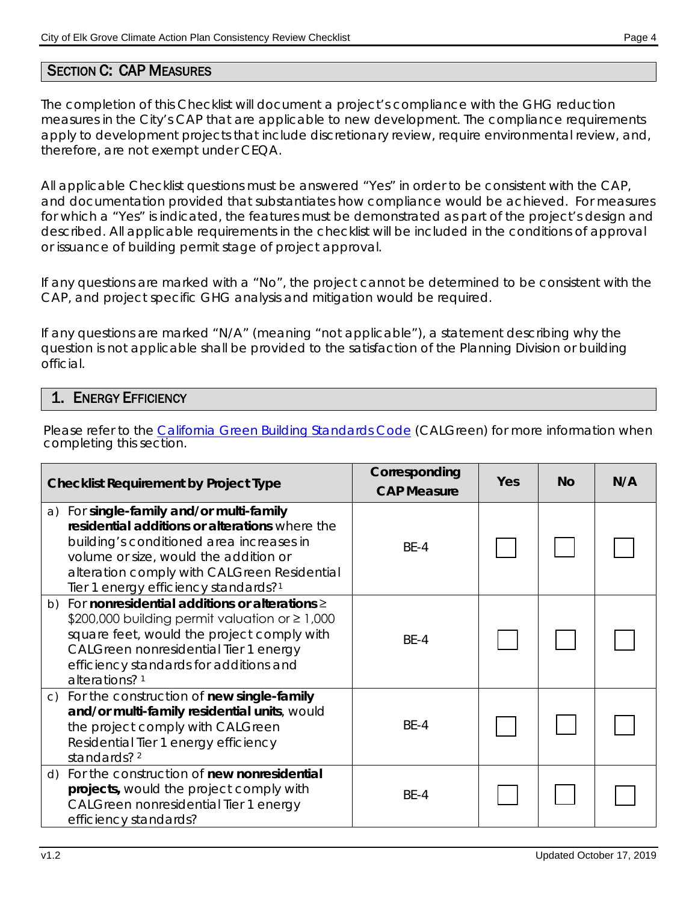## SECTION C: CAP MEASURES

The completion of this Checklist will document a project's compliance with the GHG reduction measures in the City's CAP that are applicable to new development. The compliance requirements apply to development projects that include discretionary review, require environmental review, and, therefore, are not exempt under CEQA.

All applicable Checklist questions must be answered "Yes" in order to be consistent with the CAP, and documentation provided that substantiates how compliance would be achieved. For measures for which a "Yes" is indicated, the features must be demonstrated as part of the project's design and described. All applicable requirements in the checklist will be included in the conditions of approval or issuance of building permit stage of project approval.

If any questions are marked with a "No", the project cannot be determined to be consistent with the CAP, and project specific GHG analysis and mitigation would be required.

If any questions are marked "N/A" (meaning "not applicable"), a statement describing why the question is not applicable shall be provided to the satisfaction of the Planning Division or building official.

#### 1. ENERGY EFFICIENCY

Please refer to the [California Green Building Standards Code](http://www.hcd.ca.gov/building-standards/calgreen/index.shtml) (CALGreen) for more information when completing this section.

| <b>Checklist Requirement by Project Type</b>                                                                                                                                                                                                                                       | Corresponding<br><b>CAP Measure</b> | Yes | <b>No</b> | N/A |
|------------------------------------------------------------------------------------------------------------------------------------------------------------------------------------------------------------------------------------------------------------------------------------|-------------------------------------|-----|-----------|-----|
| a) For single-family and/or multi-family<br>residential additions or alterations where the<br>building's conditioned area increases in<br>volume or size, would the addition or<br>alteration comply with CALGreen Residential<br>Tier 1 energy efficiency standards? <sup>1</sup> | $BE-4$                              |     |           |     |
| b) For nonresidential additions or alterations $\geq$<br>\$200,000 building permit valuation or $\geq 1,000$<br>square feet, would the project comply with<br>CALGreen nonresidential Tier 1 energy<br>efficiency standards for additions and<br>alterations? <sup>1</sup>         | BE-4                                |     |           |     |
| c) For the construction of new single-family<br>and/or multi-family residential units, would<br>the project comply with CALGreen<br>Residential Tier 1 energy efficiency<br>standards? <sup>2</sup>                                                                                | $BE-4$                              |     |           |     |
| d) For the construction of new nonresidential<br>projects, would the project comply with<br>CALGreen nonresidential Tier 1 energy<br>efficiency standards?                                                                                                                         | <b>BE-4</b>                         |     |           |     |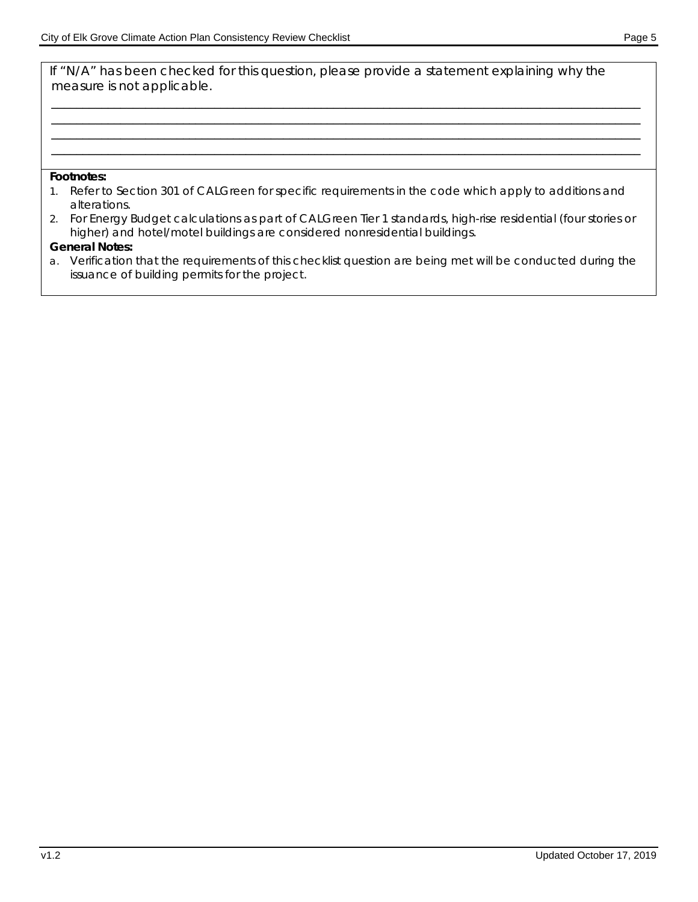If "N/A" has been checked for this question, please provide a statement explaining why the measure is not applicable.

\_\_\_\_\_\_\_\_\_\_\_\_\_\_\_\_\_\_\_\_\_\_\_\_\_\_\_\_\_\_\_\_\_\_\_\_\_\_\_\_\_\_\_\_\_\_\_\_\_\_\_\_\_\_\_\_\_\_\_\_\_\_\_\_\_\_\_\_\_\_\_\_\_\_\_\_\_\_\_\_\_\_\_\_\_\_\_\_\_\_\_\_\_\_ \_\_\_\_\_\_\_\_\_\_\_\_\_\_\_\_\_\_\_\_\_\_\_\_\_\_\_\_\_\_\_\_\_\_\_\_\_\_\_\_\_\_\_\_\_\_\_\_\_\_\_\_\_\_\_\_\_\_\_\_\_\_\_\_\_\_\_\_\_\_\_\_\_\_\_\_\_\_\_\_\_\_\_\_\_\_\_\_\_\_\_\_\_\_ \_\_\_\_\_\_\_\_\_\_\_\_\_\_\_\_\_\_\_\_\_\_\_\_\_\_\_\_\_\_\_\_\_\_\_\_\_\_\_\_\_\_\_\_\_\_\_\_\_\_\_\_\_\_\_\_\_\_\_\_\_\_\_\_\_\_\_\_\_\_\_\_\_\_\_\_\_\_\_\_\_\_\_\_\_\_\_\_\_\_\_\_\_\_ \_\_\_\_\_\_\_\_\_\_\_\_\_\_\_\_\_\_\_\_\_\_\_\_\_\_\_\_\_\_\_\_\_\_\_\_\_\_\_\_\_\_\_\_\_\_\_\_\_\_\_\_\_\_\_\_\_\_\_\_\_\_\_\_\_\_\_\_\_\_\_\_\_\_\_\_\_\_\_\_\_\_\_\_\_\_\_\_\_\_\_\_\_\_

#### **Footnotes:**

- 1. Refer to Section 301 of CALGreen for specific requirements in the code which apply to additions and alterations.
- 2. For Energy Budget calculations as part of CALGreen Tier 1 standards, high-rise residential (four stories or higher) and hotel/motel buildings are considered nonresidential buildings.

#### **General Notes:**

a. Verification that the requirements of this checklist question are being met will be conducted during the issuance of building permits for the project.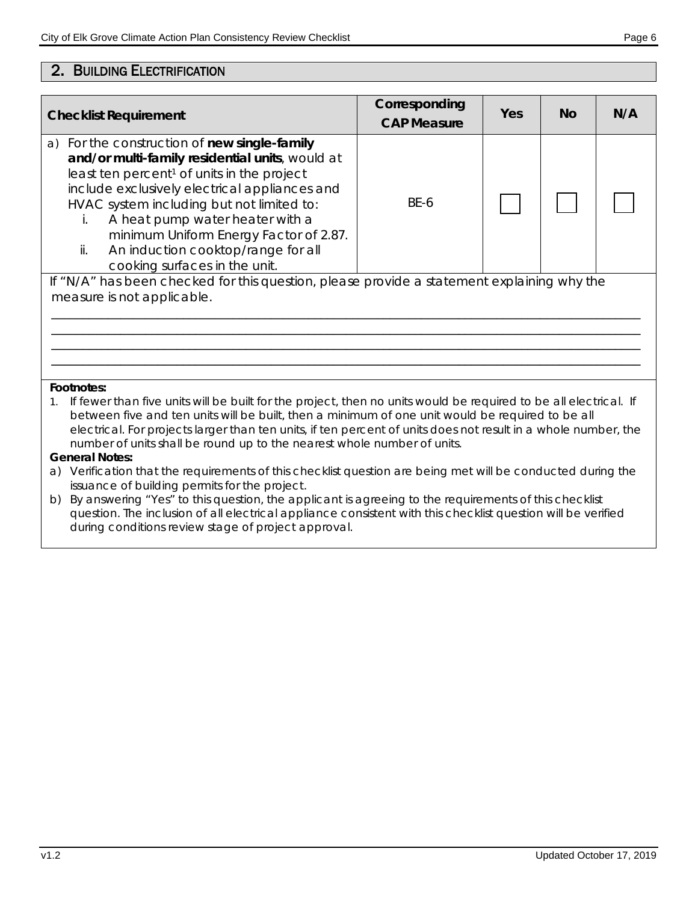## 2. BUILDING ELECTRIFICATION

| <b>Checklist Requirement</b>                                                                                                                                                                                                                                                                                                                                                                                                                                                                                                                                                                                                | Corresponding<br><b>CAP Measure</b> | Yes | <b>No</b> | N/A |  |  |
|-----------------------------------------------------------------------------------------------------------------------------------------------------------------------------------------------------------------------------------------------------------------------------------------------------------------------------------------------------------------------------------------------------------------------------------------------------------------------------------------------------------------------------------------------------------------------------------------------------------------------------|-------------------------------------|-----|-----------|-----|--|--|
| For the construction of new single-family<br>a)<br>and/or multi-family residential units, would at<br>least ten percent <sup>1</sup> of units in the project<br>include exclusively electrical appliances and<br>HVAC system including but not limited to:<br>A heat pump water heater with a<br>İ.<br>minimum Uniform Energy Factor of 2.87.<br>An induction cooktop/range for all<br>ii.<br>cooking surfaces in the unit.                                                                                                                                                                                                 | <b>BE-6</b>                         |     |           |     |  |  |
| If "N/A" has been checked for this question, please provide a statement explaining why the<br>measure is not applicable.                                                                                                                                                                                                                                                                                                                                                                                                                                                                                                    |                                     |     |           |     |  |  |
| Footnotes:<br>If fewer than five units will be built for the project, then no units would be required to be all electrical. If<br>between five and ten units will be built, then a minimum of one unit would be required to be all<br>electrical. For projects larger than ten units, if ten percent of units does not result in a whole number, the<br>number of units shall be round up to the nearest whole number of units.<br><b>General Notes:</b><br>Verification that the requirements of this checklist question are being met will be conducted during the<br>a)<br>issuance of building permits for the project. |                                     |     |           |     |  |  |

b) By answering "Yes" to this question, the applicant is agreeing to the requirements of this checklist question. The inclusion of all electrical appliance consistent with this checklist question will be verified during conditions review stage of project approval.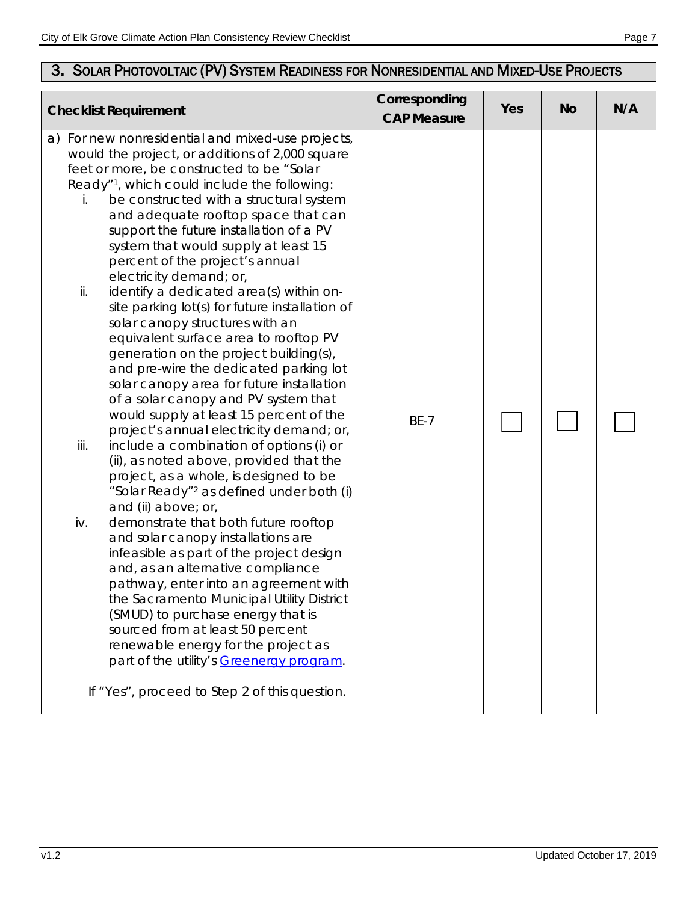# 3. SOLAR PHOTOVOLTAIC (PV) SYSTEM READINESS FOR NONRESIDENTIAL AND MIXED-USE PROJECTS

| <b>Checklist Requirement</b>                                                                                                                                                                                                                                                                                                                                                                                                                                                                                                                                                                                                                                                                                                                                                                                                                                                                                                                                                                                                                                                                                                                                                                                                                                                                                                                                                                                                                                                                                                                                                                           | Corresponding<br><b>CAP Measure</b> | Yes | <b>No</b> | N/A |
|--------------------------------------------------------------------------------------------------------------------------------------------------------------------------------------------------------------------------------------------------------------------------------------------------------------------------------------------------------------------------------------------------------------------------------------------------------------------------------------------------------------------------------------------------------------------------------------------------------------------------------------------------------------------------------------------------------------------------------------------------------------------------------------------------------------------------------------------------------------------------------------------------------------------------------------------------------------------------------------------------------------------------------------------------------------------------------------------------------------------------------------------------------------------------------------------------------------------------------------------------------------------------------------------------------------------------------------------------------------------------------------------------------------------------------------------------------------------------------------------------------------------------------------------------------------------------------------------------------|-------------------------------------|-----|-----------|-----|
| a) For new nonresidential and mixed-use projects,<br>would the project, or additions of 2,000 square<br>feet or more, be constructed to be "Solar<br>Ready" <sup>1</sup> , which could include the following:<br>be constructed with a structural system<br>i.<br>and adequate rooftop space that can<br>support the future installation of a PV<br>system that would supply at least 15<br>percent of the project's annual<br>electricity demand; or,<br>identify a dedicated area(s) within on-<br>ii.<br>site parking lot(s) for future installation of<br>solar canopy structures with an<br>equivalent surface area to rooftop PV<br>generation on the project building(s),<br>and pre-wire the dedicated parking lot<br>solar canopy area for future installation<br>of a solar canopy and PV system that<br>would supply at least 15 percent of the<br>project's annual electricity demand; or,<br>iii.<br>include a combination of options (i) or<br>(ii), as noted above, provided that the<br>project, as a whole, is designed to be<br>"Solar Ready" <sup>2</sup> as defined under both (i)<br>and (ii) above; or,<br>iv.<br>demonstrate that both future rooftop<br>and solar canopy installations are<br>infeasible as part of the project design<br>and, as an alternative compliance<br>pathway, enter into an agreement with<br>the Sacramento Municipal Utility District<br>(SMUD) to purchase energy that is<br>sourced from at least 50 percent<br>renewable energy for the project as<br>part of the utility's Greenergy program.<br>If "Yes", proceed to Step 2 of this question. | <b>BE-7</b>                         |     |           |     |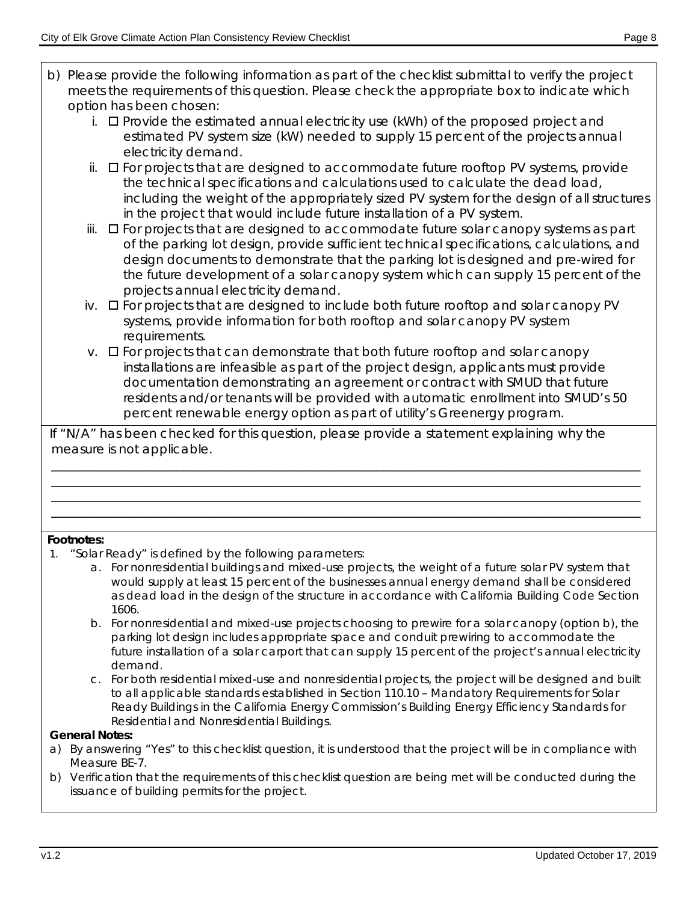- b) Please provide the following information as part of the checklist submittal to verify the project meets the requirements of this question. Please check the appropriate box to indicate which option has been chosen:
	- i.  $\Box$  Provide the estimated annual electricity use (kWh) of the proposed project and estimated PV system size (kW) needed to supply 15 percent of the projects annual electricity demand.
	- $ii.$   $\Box$  For projects that are designed to accommodate future rooftop PV systems, provide the technical specifications and calculations used to calculate the dead load, including the weight of the appropriately sized PV system for the design of all structures in the project that would include future installation of a PV system.
	- iii.  $\Box$  For projects that are designed to accommodate future solar canopy systems as part of the parking lot design, provide sufficient technical specifications, calculations, and design documents to demonstrate that the parking lot is designed and pre-wired for the future development of a solar canopy system which can supply 15 percent of the projects annual electricity demand.
	- iv.  $\Box$  For projects that are designed to include both future rooftop and solar canopy PV systems, provide information for both rooftop and solar canopy PV system requirements.
	- $v.$   $\Box$  For projects that can demonstrate that both future rooftop and solar canopy installations are infeasible as part of the project design, applicants must provide documentation demonstrating an agreement or contract with SMUD that future residents and/or tenants will be provided with automatic enrollment into SMUD's 50 percent renewable energy option as part of utility's Greenergy program.

If "N/A" has been checked for this question, please provide a statement explaining why the measure is not applicable.

\_\_\_\_\_\_\_\_\_\_\_\_\_\_\_\_\_\_\_\_\_\_\_\_\_\_\_\_\_\_\_\_\_\_\_\_\_\_\_\_\_\_\_\_\_\_\_\_\_\_\_\_\_\_\_\_\_\_\_\_\_\_\_\_\_\_\_\_\_\_\_\_\_\_\_\_\_\_\_\_\_\_\_\_\_\_\_\_\_\_\_\_\_\_ \_\_\_\_\_\_\_\_\_\_\_\_\_\_\_\_\_\_\_\_\_\_\_\_\_\_\_\_\_\_\_\_\_\_\_\_\_\_\_\_\_\_\_\_\_\_\_\_\_\_\_\_\_\_\_\_\_\_\_\_\_\_\_\_\_\_\_\_\_\_\_\_\_\_\_\_\_\_\_\_\_\_\_\_\_\_\_\_\_\_\_\_\_\_ \_\_\_\_\_\_\_\_\_\_\_\_\_\_\_\_\_\_\_\_\_\_\_\_\_\_\_\_\_\_\_\_\_\_\_\_\_\_\_\_\_\_\_\_\_\_\_\_\_\_\_\_\_\_\_\_\_\_\_\_\_\_\_\_\_\_\_\_\_\_\_\_\_\_\_\_\_\_\_\_\_\_\_\_\_\_\_\_\_\_\_\_\_\_ \_\_\_\_\_\_\_\_\_\_\_\_\_\_\_\_\_\_\_\_\_\_\_\_\_\_\_\_\_\_\_\_\_\_\_\_\_\_\_\_\_\_\_\_\_\_\_\_\_\_\_\_\_\_\_\_\_\_\_\_\_\_\_\_\_\_\_\_\_\_\_\_\_\_\_\_\_\_\_\_\_\_\_\_\_\_\_\_\_\_\_\_\_\_

### **Footnotes:**

- 1. "Solar Ready" is defined by the following parameters:
	- a. For nonresidential buildings and mixed-use projects, the weight of a future solar PV system that would supply at least 15 percent of the businesses annual energy demand shall be considered as dead load in the design of the structure in accordance with California Building Code Section 1606.
	- b. For nonresidential and mixed-use projects choosing to prewire for a solar canopy (option b), the parking lot design includes appropriate space and conduit prewiring to accommodate the future installation of a solar carport that can supply 15 percent of the project's annual electricity demand.
	- c. For both residential mixed-use and nonresidential projects, the project will be designed and built to all applicable standards established in Section 110.10 – Mandatory Requirements for Solar Ready Buildings in the California Energy Commission's Building Energy Efficiency Standards for Residential and Nonresidential Buildings.

#### **General Notes:**

- a) By answering "Yes" to this checklist question, it is understood that the project will be in compliance with Measure BE-7.
- b) Verification that the requirements of this checklist question are being met will be conducted during the issuance of building permits for the project.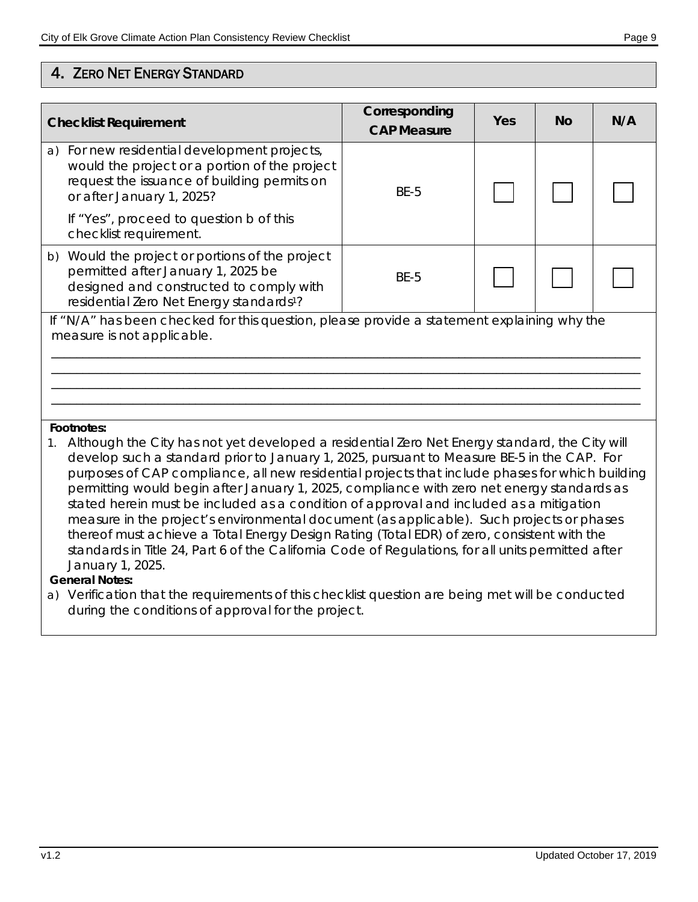| <b>Checklist Requirement</b>                                                                                             |                                                                                                                                                                                                                                                                                                                                                                                                                                                                                                                                                                                                                                                                                                                                                                                        | Corresponding<br><b>CAP Measure</b> | Yes | <b>No</b> | N/A |  |
|--------------------------------------------------------------------------------------------------------------------------|----------------------------------------------------------------------------------------------------------------------------------------------------------------------------------------------------------------------------------------------------------------------------------------------------------------------------------------------------------------------------------------------------------------------------------------------------------------------------------------------------------------------------------------------------------------------------------------------------------------------------------------------------------------------------------------------------------------------------------------------------------------------------------------|-------------------------------------|-----|-----------|-----|--|
|                                                                                                                          | a) For new residential development projects,<br>would the project or a portion of the project<br>request the issuance of building permits on<br>or after January 1, 2025?                                                                                                                                                                                                                                                                                                                                                                                                                                                                                                                                                                                                              | <b>BE-5</b>                         |     |           |     |  |
|                                                                                                                          | If "Yes", proceed to question b of this<br>checklist requirement.                                                                                                                                                                                                                                                                                                                                                                                                                                                                                                                                                                                                                                                                                                                      |                                     |     |           |     |  |
|                                                                                                                          | b) Would the project or portions of the project<br>permitted after January 1, 2025 be<br>designed and constructed to comply with<br>residential Zero Net Energy standards <sup>1</sup> ?                                                                                                                                                                                                                                                                                                                                                                                                                                                                                                                                                                                               | <b>BE-5</b>                         |     |           |     |  |
| If "N/A" has been checked for this question, please provide a statement explaining why the<br>measure is not applicable. |                                                                                                                                                                                                                                                                                                                                                                                                                                                                                                                                                                                                                                                                                                                                                                                        |                                     |     |           |     |  |
| Footnotes:<br>$1_{\cdot}$<br>January 1, 2025.<br>Conoral Notos:                                                          | Although the City has not yet developed a residential Zero Net Energy standard, the City will<br>develop such a standard prior to January 1, 2025, pursuant to Measure BE-5 in the CAP. For<br>purposes of CAP compliance, all new residential projects that include phases for which building<br>permitting would begin after January 1, 2025, compliance with zero net energy standards as<br>stated herein must be included as a condition of approval and included as a mitigation<br>measure in the project's environmental document (as applicable). Such projects or phases<br>thereof must achieve a Total Energy Design Rating (Total EDR) of zero, consistent with the<br>standards in Title 24, Part 6 of the California Code of Regulations, for all units permitted after |                                     |     |           |     |  |

#### **General Notes:**

a) Verification that the requirements of this checklist question are being met will be conducted during the conditions of approval for the project.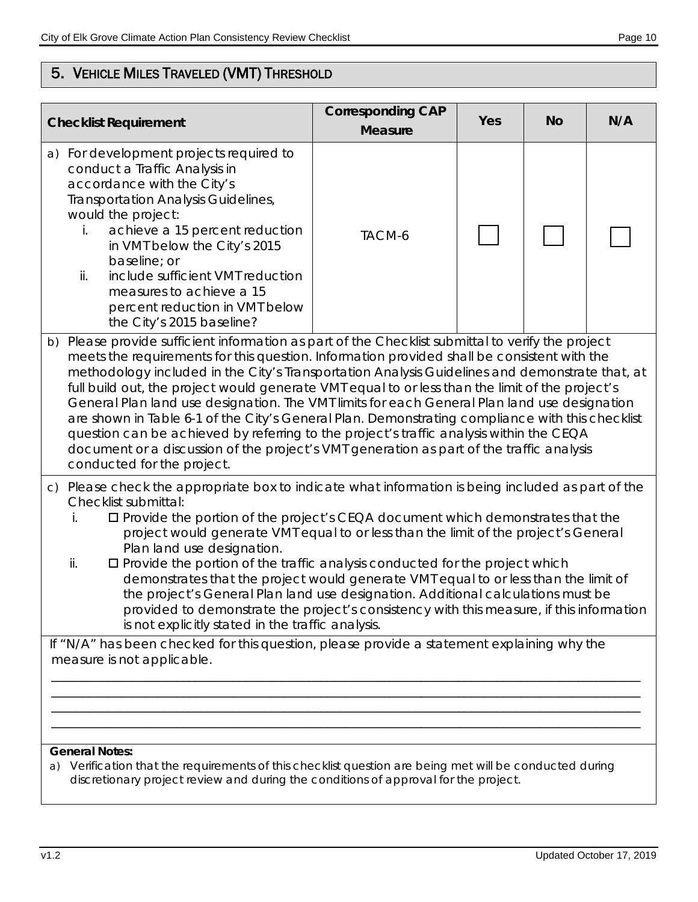# 5. VEHICLE MILES TRAVELED (VMT) THRESHOLD

| <b>Checklist Requirement</b>                                                                                                                                                                                                                                                                                                                                                                                                                                                                                                                                                                                                                                                                                                                                                                                                  | <b>Corresponding CAP</b><br><b>Measure</b> | Yes | <b>No</b> | N/A |  |  |
|-------------------------------------------------------------------------------------------------------------------------------------------------------------------------------------------------------------------------------------------------------------------------------------------------------------------------------------------------------------------------------------------------------------------------------------------------------------------------------------------------------------------------------------------------------------------------------------------------------------------------------------------------------------------------------------------------------------------------------------------------------------------------------------------------------------------------------|--------------------------------------------|-----|-----------|-----|--|--|
| For development projects required to<br>a)<br>conduct a Traffic Analysis in<br>accordance with the City's<br>Transportation Analysis Guidelines,<br>would the project:<br>achieve a 15 percent reduction<br>İ.<br>in VMT below the City's 2015<br>baseline; or<br>include sufficient VMT reduction<br>ii.<br>measures to achieve a 15<br>percent reduction in VMT below<br>the City's 2015 baseline?                                                                                                                                                                                                                                                                                                                                                                                                                          | TACM-6                                     |     |           |     |  |  |
| b) Please provide sufficient information as part of the Checklist submittal to verify the project<br>meets the requirements for this question. Information provided shall be consistent with the<br>methodology included in the City's Transportation Analysis Guidelines and demonstrate that, at<br>full build out, the project would generate VMT equal to or less than the limit of the project's<br>General Plan land use designation. The VMT limits for each General Plan land use designation<br>are shown in Table 6-1 of the City's General Plan. Demonstrating compliance with this checklist<br>question can be achieved by referring to the project's traffic analysis within the CEQA<br>document or a discussion of the project's VMT generation as part of the traffic analysis<br>conducted for the project. |                                            |     |           |     |  |  |
| c) Please check the appropriate box to indicate what information is being included as part of the<br>Checklist submittal:<br>□ Provide the portion of the project's CEQA document which demonstrates that the<br>İ.<br>project would generate VMT equal to or less than the limit of the project's General<br>Plan land use designation.<br>$\square$ Provide the portion of the traffic analysis conducted for the project which<br>ii.<br>demonstrates that the project would generate VMT equal to or less than the limit of<br>the project's General Plan land use designation. Additional calculations must be<br>provided to demonstrate the project's consistency with this measure, if this information<br>is not explicitly stated in the traffic analysis.                                                          |                                            |     |           |     |  |  |
| If "N/A" has been checked for this question, please provide a statement explaining why the<br>measure is not applicable.<br><b>General Notes:</b><br>Verification that the requirements of this checklist question are being met will be conducted during                                                                                                                                                                                                                                                                                                                                                                                                                                                                                                                                                                     |                                            |     |           |     |  |  |
| a)<br>discretionary project review and during the conditions of approval for the project.                                                                                                                                                                                                                                                                                                                                                                                                                                                                                                                                                                                                                                                                                                                                     |                                            |     |           |     |  |  |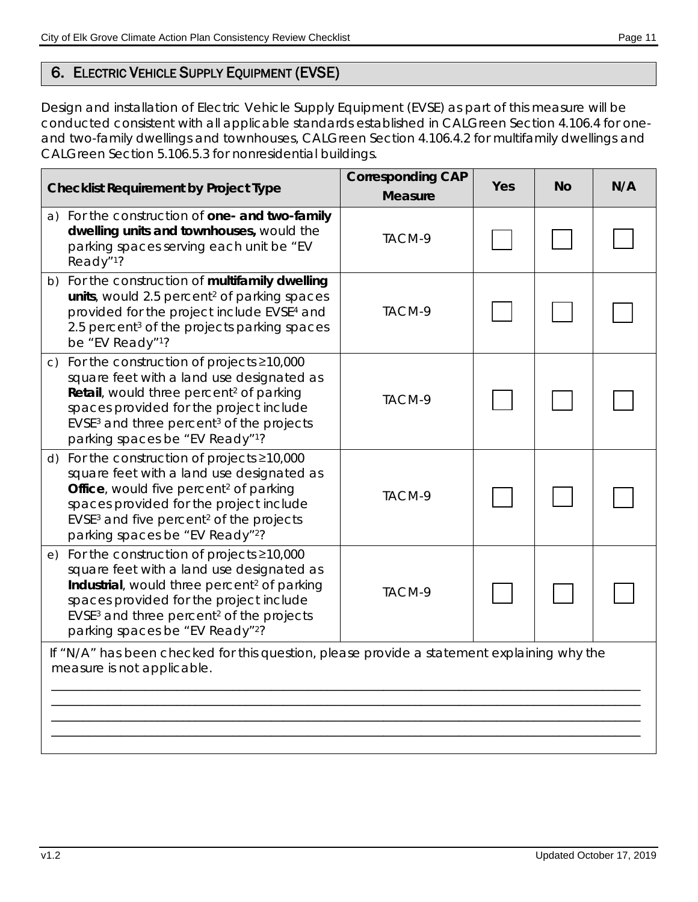# 6. ELECTRIC VEHICLE SUPPLY EQUIPMENT (EVSE)

Design and installation of Electric Vehicle Supply Equipment (EVSE) as part of this measure will be conducted consistent with all applicable standards established in CALGreen Section 4.106.4 for oneand two-family dwellings and townhouses, CALGreen Section 4.106.4.2 for multifamily dwellings and CALGreen Section 5.106.5.3 for nonresidential buildings.

| <b>Checklist Requirement by Project Type</b>                                                                                                                                                                                                                                                                        | <b>Corresponding CAP</b><br><b>Measure</b> | Yes | No | N/A |
|---------------------------------------------------------------------------------------------------------------------------------------------------------------------------------------------------------------------------------------------------------------------------------------------------------------------|--------------------------------------------|-----|----|-----|
| a) For the construction of one- and two-family<br>dwelling units and townhouses, would the<br>parking spaces serving each unit be "EV<br>Ready"1?                                                                                                                                                                   | TACM-9                                     |     |    |     |
| b) For the construction of multifamily dwelling<br>units, would 2.5 percent <sup>2</sup> of parking spaces<br>provided for the project include EVSE <sup>4</sup> and<br>2.5 percent <sup>3</sup> of the projects parking spaces<br>be "EV Ready"1?                                                                  | TACM-9                                     |     |    |     |
| For the construction of projects $\geq 10,000$<br>$\mathsf{C}$<br>square feet with a land use designated as<br>Retail, would three percent <sup>2</sup> of parking<br>spaces provided for the project include<br>EVSE <sup>3</sup> and three percent <sup>3</sup> of the projects<br>parking spaces be "EV Ready"1? | TACM-9                                     |     |    |     |
| d) For the construction of projects $\geq$ 10,000<br>square feet with a land use designated as<br>Office, would five percent <sup>2</sup> of parking<br>spaces provided for the project include<br>EVSE <sup>3</sup> and five percent <sup>2</sup> of the projects<br>parking spaces be "EV Ready"2?                | TACM-9                                     |     |    |     |
| e) For the construction of projects ≥10,000<br>square feet with a land use designated as<br>Industrial, would three percent <sup>2</sup> of parking<br>spaces provided for the project include<br>EVSE <sup>3</sup> and three percent <sup>2</sup> of the projects<br>parking spaces be "EV Ready" <sup>2</sup> ?   | TACM-9                                     |     |    |     |
| If "N/A" has been checked for this question, please provide a statement explaining why the<br>measure is not applicable.                                                                                                                                                                                            |                                            |     |    |     |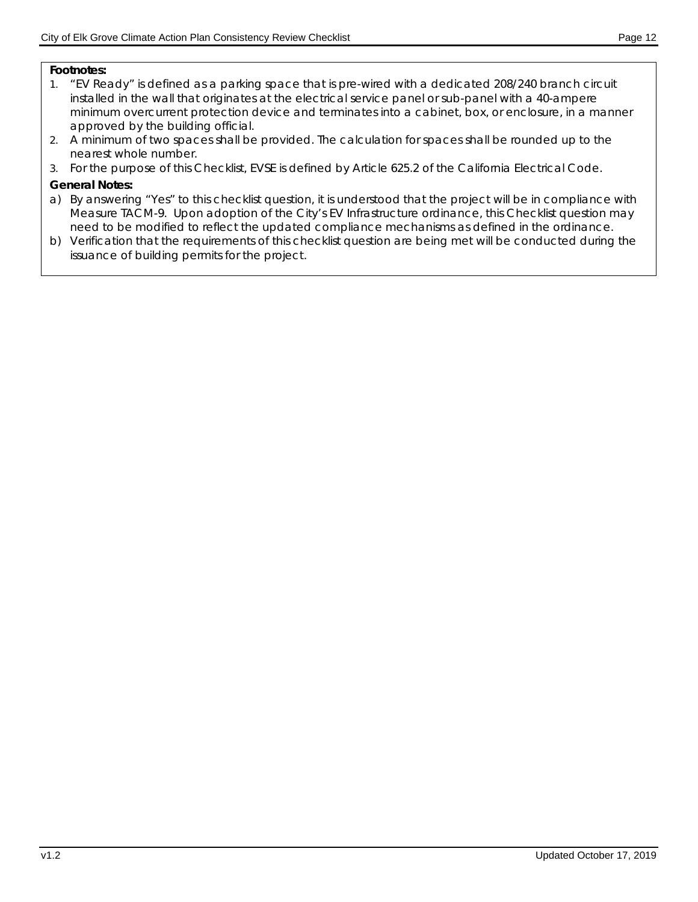#### **Footnotes:**

- 1. "EV Ready" is defined as a parking space that is pre-wired with a dedicated 208/240 branch circuit installed in the wall that originates at the electrical service panel or sub-panel with a 40-ampere minimum overcurrent protection device and terminates into a cabinet, box, or enclosure, in a manner approved by the building official.
- 2. A minimum of two spaces shall be provided. The calculation for spaces shall be rounded up to the nearest whole number.
- 3. For the purpose of this Checklist, EVSE is defined by Article 625.2 of the California Electrical Code.

#### **General Notes:**

- a) By answering "Yes" to this checklist question, it is understood that the project will be in compliance with Measure TACM-9. Upon adoption of the City's EV Infrastructure ordinance, this Checklist question may need to be modified to reflect the updated compliance mechanisms as defined in the ordinance.
- b) Verification that the requirements of this checklist question are being met will be conducted during the issuance of building permits for the project.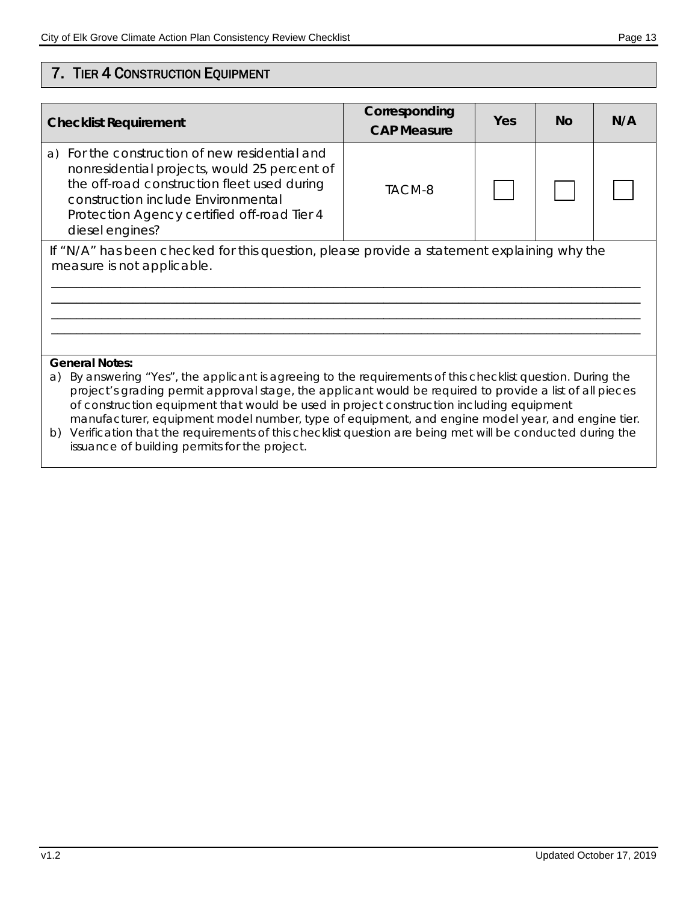# 7. TIER 4 CONSTRUCTION EQUIPMENT

| <b>Checklist Requirement</b>                                                                                                                                                                                                                                                                                                                                                                                                                                                                                                                                                                                        | Corresponding<br><b>CAP Measure</b> | Yes | <b>No</b> | N/A |  |  |
|---------------------------------------------------------------------------------------------------------------------------------------------------------------------------------------------------------------------------------------------------------------------------------------------------------------------------------------------------------------------------------------------------------------------------------------------------------------------------------------------------------------------------------------------------------------------------------------------------------------------|-------------------------------------|-----|-----------|-----|--|--|
| For the construction of new residential and<br>a)<br>nonresidential projects, would 25 percent of<br>the off-road construction fleet used during<br>construction include Environmental<br>Protection Agency certified off-road Tier 4<br>diesel engines?                                                                                                                                                                                                                                                                                                                                                            | TACM-8                              |     |           |     |  |  |
| If "N/A" has been checked for this question, please provide a statement explaining why the<br>measure is not applicable.                                                                                                                                                                                                                                                                                                                                                                                                                                                                                            |                                     |     |           |     |  |  |
|                                                                                                                                                                                                                                                                                                                                                                                                                                                                                                                                                                                                                     |                                     |     |           |     |  |  |
|                                                                                                                                                                                                                                                                                                                                                                                                                                                                                                                                                                                                                     |                                     |     |           |     |  |  |
| <b>General Notes:</b><br>By answering "Yes", the applicant is agreeing to the requirements of this checklist question. During the<br>a)<br>project's grading permit approval stage, the applicant would be required to provide a list of all pieces<br>of construction equipment that would be used in project construction including equipment<br>manufacturer, equipment model number, type of equipment, and engine model year, and engine tier.<br>b) Verification that the requirements of this checklist question are being met will be conducted during the<br>issuance of building permits for the project. |                                     |     |           |     |  |  |